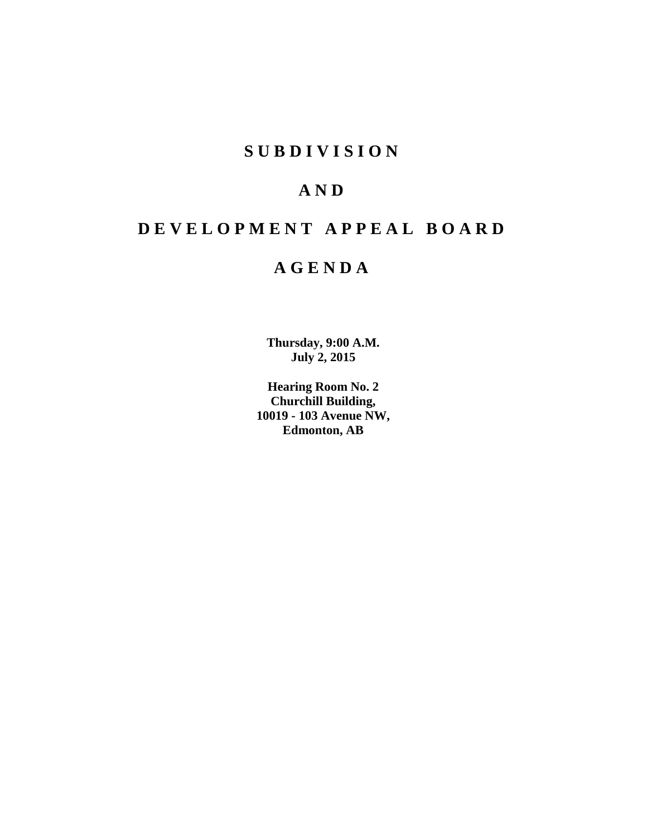# **S U B D I V I S I O N**

# **A N D**

# **D E V E L O P M E N T A P P E A L B O A R D**

# **A G E N D A**

**Thursday, 9:00 A.M. July 2, 2015**

**Hearing Room No. 2 Churchill Building, 10019 - 103 Avenue NW, Edmonton, AB**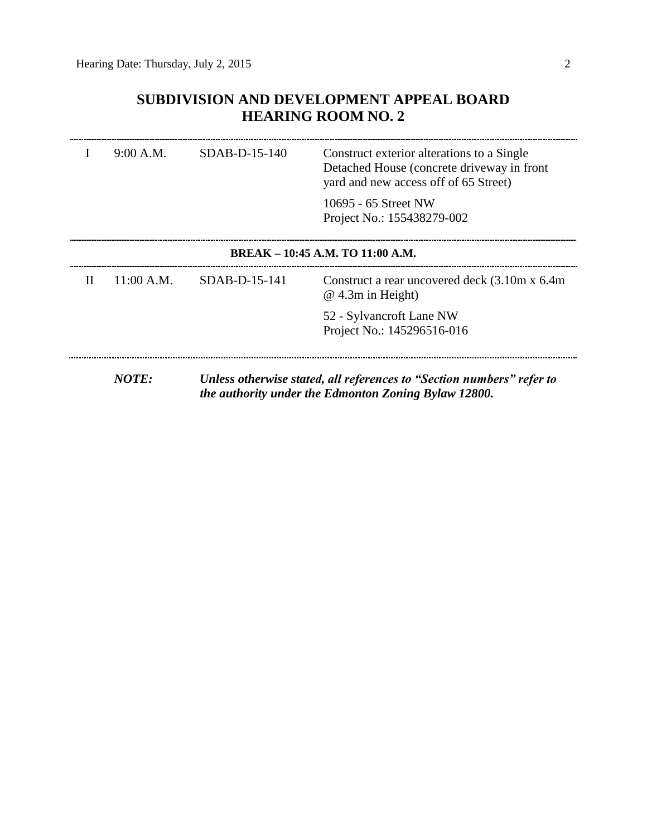## **SUBDIVISION AND DEVELOPMENT APPEAL BOARD HEARING ROOM NO. 2**

|   | 9:00 A.M.  | $SDAB-D-15-140$ | Construct exterior alterations to a Single<br>Detached House (concrete driveway in front<br>yard and new access off of 65 Street) |
|---|------------|-----------------|-----------------------------------------------------------------------------------------------------------------------------------|
|   |            |                 | 10695 - 65 Street NW<br>Project No.: 155438279-002                                                                                |
|   |            |                 | BREAK – 10:45 A.M. TO 11:00 A.M.                                                                                                  |
| H | 11:00 A.M. | $SDAB-D-15-141$ | Construct a rear uncovered deck (3.10m x 6.4m)<br>$@$ 4.3m in Height)                                                             |
|   |            |                 | 52 - Sylvancroft Lane NW<br>Project No.: 145296516-016                                                                            |
|   | NOTE:      |                 | Unless otherwise stated, all references to "Section numbers" refer to<br>the authority under the Edmonton Zoning Bylaw 12800.     |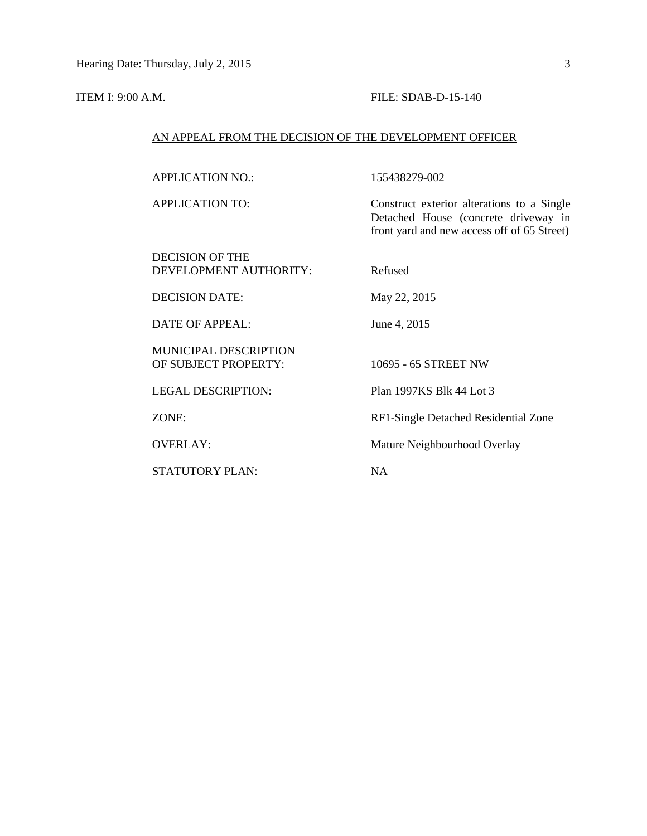#### **ITEM I:** 9:00 A.M. **FILE: SDAB-D-15-140**

#### AN APPEAL FROM THE DECISION OF THE DEVELOPMENT OFFICER

APPLICATION NO.: 155438279-002

APPLICATION TO: Construct exterior alterations to a Single Detached House (concrete driveway in front yard and new access off of 65 Street)

DECISION OF THE DEVELOPMENT AUTHORITY: Refused

DECISION DATE: May 22, 2015

DATE OF APPEAL: June 4, 2015

MUNICIPAL DESCRIPTION OF SUBJECT PROPERTY: 10695 - 65 STREET NW

STATUTORY PLAN: NA

LEGAL DESCRIPTION: Plan 1997KS Blk 44 Lot 3

ZONE: RF1-Single Detached Residential Zone

OVERLAY: Mature Neighbourhood Overlay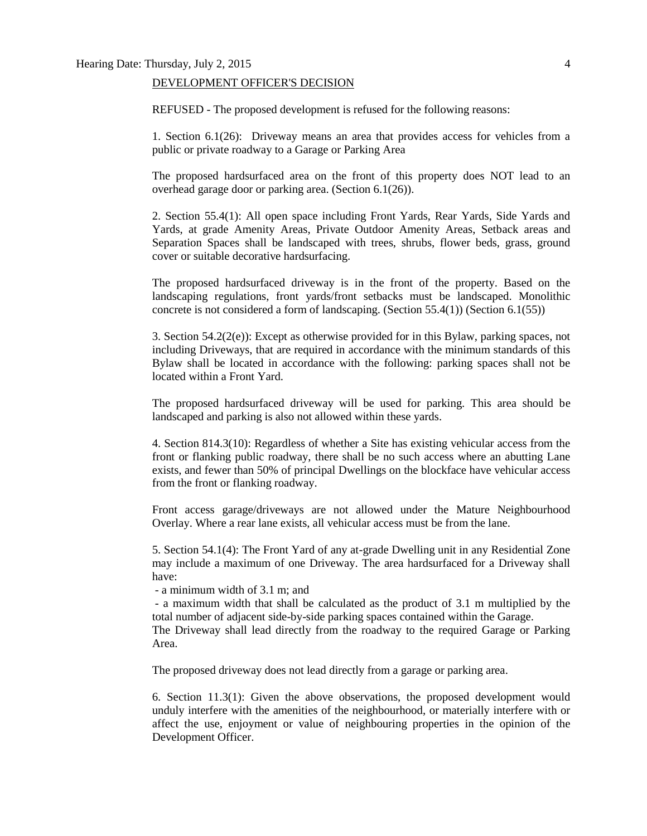#### Hearing Date: Thursday, July 2, 2015 4

#### DEVELOPMENT OFFICER'S DECISION

REFUSED - The proposed development is refused for the following reasons:

1. Section 6.1(26): Driveway means an area that provides access for vehicles from a public or private roadway to a Garage or Parking Area

The proposed hardsurfaced area on the front of this property does NOT lead to an overhead garage door or parking area. (Section 6.1(26)).

2. Section 55.4(1): All open space including Front Yards, Rear Yards, Side Yards and Yards, at grade Amenity Areas, Private Outdoor Amenity Areas, Setback areas and Separation Spaces shall be landscaped with trees, shrubs, flower beds, grass, ground cover or suitable decorative hardsurfacing.

The proposed hardsurfaced driveway is in the front of the property. Based on the landscaping regulations, front yards/front setbacks must be landscaped. Monolithic concrete is not considered a form of landscaping. (Section 55.4(1)) (Section 6.1(55))

3. Section  $54.2(2(e))$ : Except as otherwise provided for in this Bylaw, parking spaces, not including Driveways, that are required in accordance with the minimum standards of this Bylaw shall be located in accordance with the following: parking spaces shall not be located within a Front Yard.

The proposed hardsurfaced driveway will be used for parking. This area should be landscaped and parking is also not allowed within these yards.

4. Section 814.3(10): Regardless of whether a Site has existing vehicular access from the front or flanking public roadway, there shall be no such access where an abutting Lane exists, and fewer than 50% of principal Dwellings on the blockface have vehicular access from the front or flanking roadway.

Front access garage/driveways are not allowed under the Mature Neighbourhood Overlay. Where a rear lane exists, all vehicular access must be from the lane.

5. Section 54.1(4): The Front Yard of any at-grade Dwelling unit in any Residential Zone may include a maximum of one Driveway. The area hardsurfaced for a Driveway shall have:

- a minimum width of 3.1 m; and

- a maximum width that shall be calculated as the product of 3.1 m multiplied by the total number of adjacent side-by-side parking spaces contained within the Garage.

The Driveway shall lead directly from the roadway to the required Garage or Parking Area.

The proposed driveway does not lead directly from a garage or parking area.

6. Section 11.3(1): Given the above observations, the proposed development would unduly interfere with the amenities of the neighbourhood, or materially interfere with or affect the use, enjoyment or value of neighbouring properties in the opinion of the Development Officer.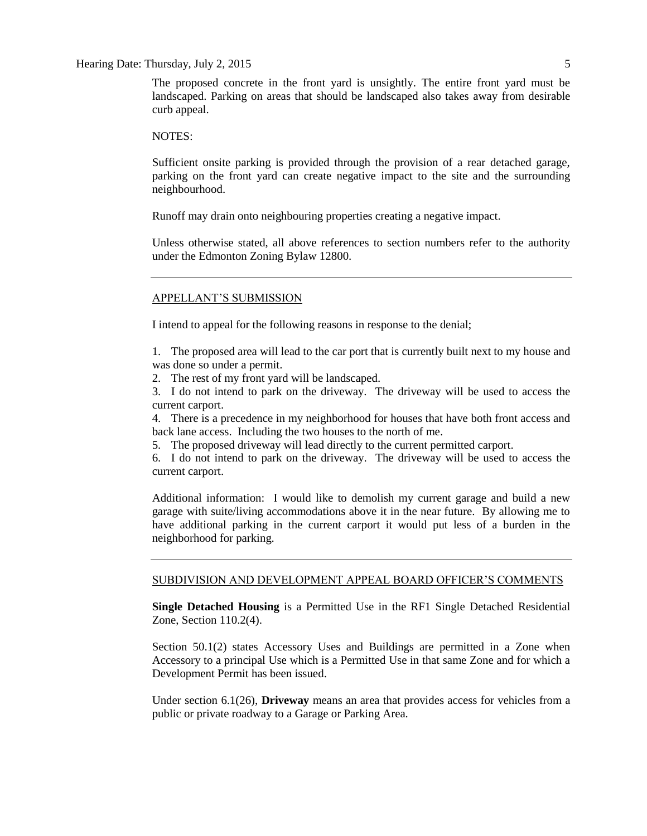#### Hearing Date: Thursday, July 2, 2015 5

The proposed concrete in the front yard is unsightly. The entire front yard must be landscaped. Parking on areas that should be landscaped also takes away from desirable curb appeal.

NOTES:

Sufficient onsite parking is provided through the provision of a rear detached garage, parking on the front yard can create negative impact to the site and the surrounding neighbourhood.

Runoff may drain onto neighbouring properties creating a negative impact.

Unless otherwise stated, all above references to section numbers refer to the authority under the Edmonton Zoning Bylaw 12800.

#### APPELLANT'S SUBMISSION

I intend to appeal for the following reasons in response to the denial;

1. The proposed area will lead to the car port that is currently built next to my house and was done so under a permit.

2. The rest of my front yard will be landscaped.

3. I do not intend to park on the driveway. The driveway will be used to access the current carport.

4. There is a precedence in my neighborhood for houses that have both front access and back lane access. Including the two houses to the north of me.

5. The proposed driveway will lead directly to the current permitted carport.

6. I do not intend to park on the driveway. The driveway will be used to access the current carport.

Additional information: I would like to demolish my current garage and build a new garage with suite/living accommodations above it in the near future. By allowing me to have additional parking in the current carport it would put less of a burden in the neighborhood for parking.

#### SUBDIVISION AND DEVELOPMENT APPEAL BOARD OFFICER'S COMMENTS

**Single Detached Housing** is a Permitted Use in the RF1 Single Detached Residential Zone, Section 110.2(4).

Section 50.1(2) states Accessory Uses and Buildings are permitted in a Zone when Accessory to a principal Use which is a Permitted Use in that same Zone and for which a Development Permit has been issued.

Under section 6.1(26), **Driveway** means an area that provides access for vehicles from a public or private roadway to a Garage or Parking Area.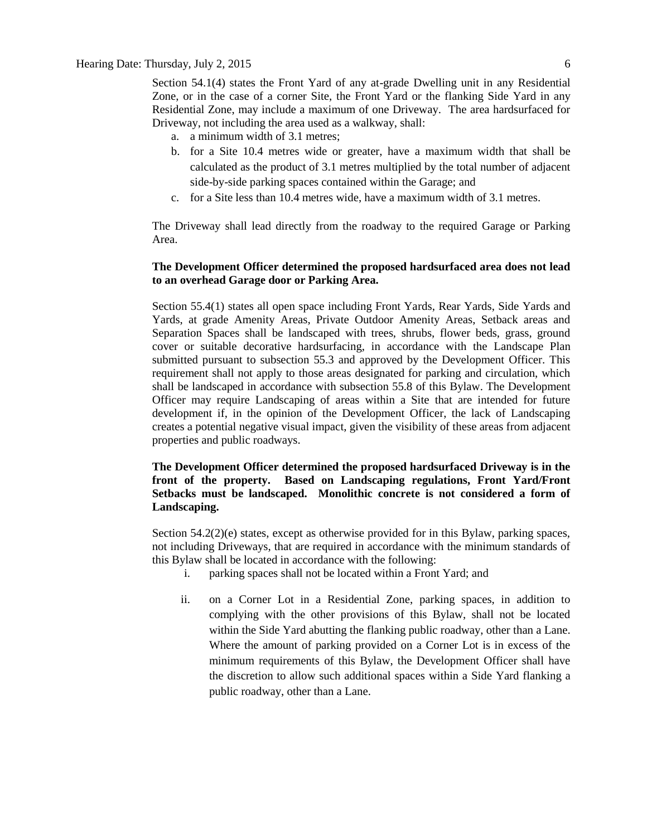Section 54.1(4) states the Front Yard of any at-grade Dwelling unit in any Residential Zone, or in the case of a corner Site, the Front Yard or the flanking Side Yard in any Residential Zone, may include a maximum of one Driveway. The area hardsurfaced for Driveway, not including the area used as a walkway, shall:

- a. a minimum width of 3.1 metres;
- b. for a Site 10.4 metres wide or greater, have a maximum width that shall be calculated as the product of 3.1 metres multiplied by the total number of adjacent side-by-side parking spaces contained within the Garage; and
- c. for a Site less than 10.4 metres wide, have a maximum width of 3.1 metres.

The Driveway shall lead directly from the roadway to the required Garage or Parking Area.

#### **The Development Officer determined the proposed hardsurfaced area does not lead to an overhead Garage door or Parking Area.**

Section 55.4(1) states all open space including Front Yards, Rear Yards, Side Yards and Yards, at grade Amenity Areas, Private Outdoor Amenity Areas, Setback areas and Separation Spaces shall be landscaped with trees, shrubs, flower beds, grass, ground cover or suitable decorative hardsurfacing, in accordance with the Landscape Plan submitted pursuant to subsection 55.3 and approved by the Development Officer. This requirement shall not apply to those areas designated for parking and circulation, which shall be landscaped in accordance with subsection 55.8 of this Bylaw. The Development Officer may require Landscaping of areas within a Site that are intended for future development if, in the opinion of the Development Officer, the lack of Landscaping creates a potential negative visual impact, given the visibility of these areas from adjacent properties and public roadways.

**The Development Officer determined the proposed hardsurfaced Driveway is in the front of the property. Based on Landscaping regulations, Front Yard/Front Setbacks must be landscaped. Monolithic concrete is not considered a form of Landscaping.**

Section 54.2(2)(e) states, except as otherwise provided for in this Bylaw, parking spaces, not including Driveways, that are required in accordance with the minimum standards of this Bylaw shall be located in accordance with the following:

- i. parking spaces shall not be located within a Front Yard; and
- ii. on a Corner Lot in a Residential Zone, parking spaces, in addition to complying with the other provisions of this Bylaw, shall not be located within the Side Yard abutting the flanking public roadway, other than a Lane. Where the amount of parking provided on a Corner Lot is in excess of the minimum requirements of this Bylaw, the Development Officer shall have the discretion to allow such additional spaces within a Side Yard flanking a public roadway, other than a Lane.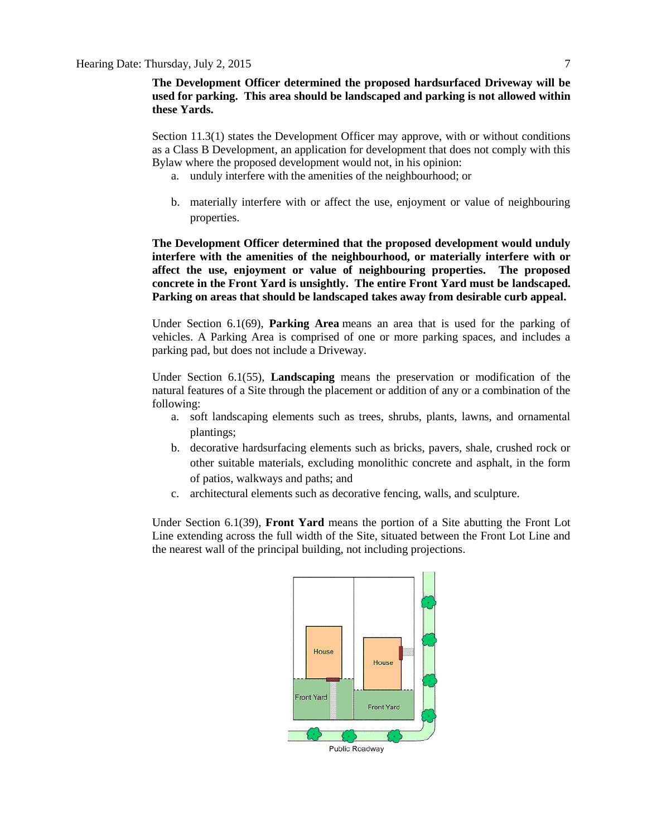Section 11.3(1) states the Development Officer may approve, with or without conditions as a Class B Development, an application for development that does not comply with this Bylaw where the proposed development would not, in his opinion:

- a. unduly interfere with the amenities of the neighbourhood; or
- b. materially interfere with or affect the use, enjoyment or value of neighbouring properties.

**The Development Officer determined that the proposed development would unduly interfere with the amenities of the neighbourhood, or materially interfere with or affect the use, enjoyment or value of neighbouring properties. The proposed concrete in the Front Yard is unsightly. The entire Front Yard must be landscaped. Parking on areas that should be landscaped takes away from desirable curb appeal.**

Under Section 6.1(69), **Parking Area** means an area that is used for the parking of vehicles. A Parking Area is comprised of one or more parking spaces, and includes a parking pad, but does not include a Driveway.

Under Section 6.1(55), **Landscaping** means the preservation or modification of the natural features of a Site through the placement or addition of any or a combination of the following:

- a. soft landscaping elements such as trees, shrubs, plants, lawns, and ornamental plantings;
- b. decorative hardsurfacing elements such as bricks, pavers, shale, crushed rock or other suitable materials, excluding monolithic concrete and asphalt, in the form of patios, walkways and paths; and
- c. architectural elements such as decorative fencing, walls, and sculpture.

Under Section 6.1(39), **Front Yard** means the portion of a Site abutting the Front Lot Line extending across the full width of the Site, situated between the Front Lot Line and the nearest wall of the principal building, not including projections.



Public Roadway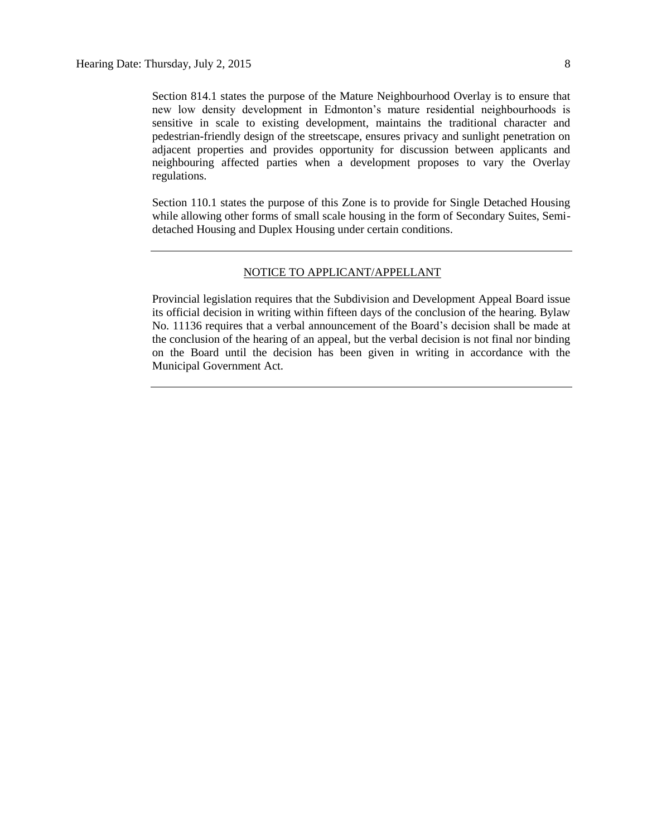Section 814.1 states the purpose of the Mature Neighbourhood Overlay is to ensure that new low density development in Edmonton's mature residential neighbourhoods is sensitive in scale to existing development, maintains the traditional character and pedestrian-friendly design of the streetscape, ensures privacy and sunlight penetration on adjacent properties and provides opportunity for discussion between applicants and neighbouring affected parties when a development proposes to vary the Overlay regulations.

Section 110.1 states the purpose of this Zone is to provide for Single Detached Housing while allowing other forms of small scale housing in the form of Secondary Suites, Semidetached Housing and Duplex Housing under certain conditions.

### NOTICE TO APPLICANT/APPELLANT

Provincial legislation requires that the Subdivision and Development Appeal Board issue its official decision in writing within fifteen days of the conclusion of the hearing. Bylaw No. 11136 requires that a verbal announcement of the Board's decision shall be made at the conclusion of the hearing of an appeal, but the verbal decision is not final nor binding on the Board until the decision has been given in writing in accordance with the Municipal Government Act.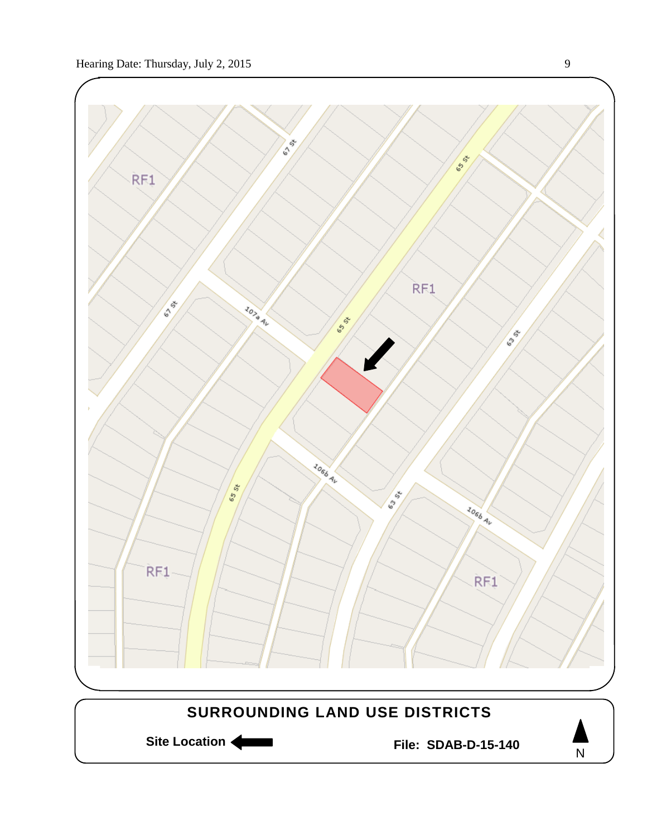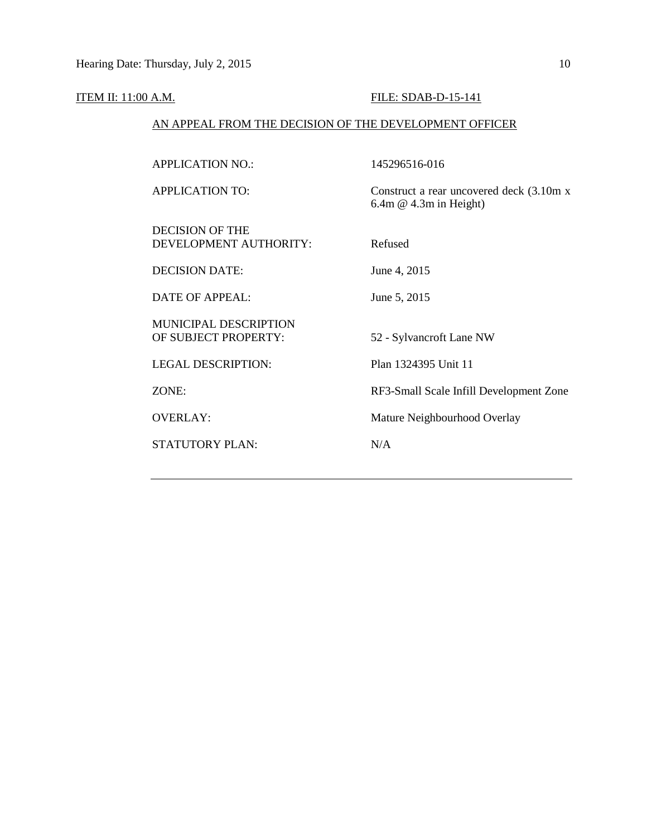## **ITEM II: 11:00 A.M. FILE: SDAB-D-15-141**

## AN APPEAL FROM THE DECISION OF THE DEVELOPMENT OFFICER

| <b>APPLICATION NO.:</b>                              | 145296516-016                                                          |
|------------------------------------------------------|------------------------------------------------------------------------|
| <b>APPLICATION TO:</b>                               | Construct a rear uncovered deck (3.10m x)<br>$6.4m \& 4.3m$ in Height) |
| <b>DECISION OF THE</b><br>DEVELOPMENT AUTHORITY:     | Refused                                                                |
| <b>DECISION DATE:</b>                                | June 4, 2015                                                           |
| <b>DATE OF APPEAL:</b>                               | June 5, 2015                                                           |
| <b>MUNICIPAL DESCRIPTION</b><br>OF SUBJECT PROPERTY: | 52 - Sylvancroft Lane NW                                               |
| <b>LEGAL DESCRIPTION:</b>                            | Plan 1324395 Unit 11                                                   |
| ZONE:                                                | RF3-Small Scale Infill Development Zone                                |
| <b>OVERLAY:</b>                                      | Mature Neighbourhood Overlay                                           |
| <b>STATUTORY PLAN:</b>                               | N/A                                                                    |
|                                                      |                                                                        |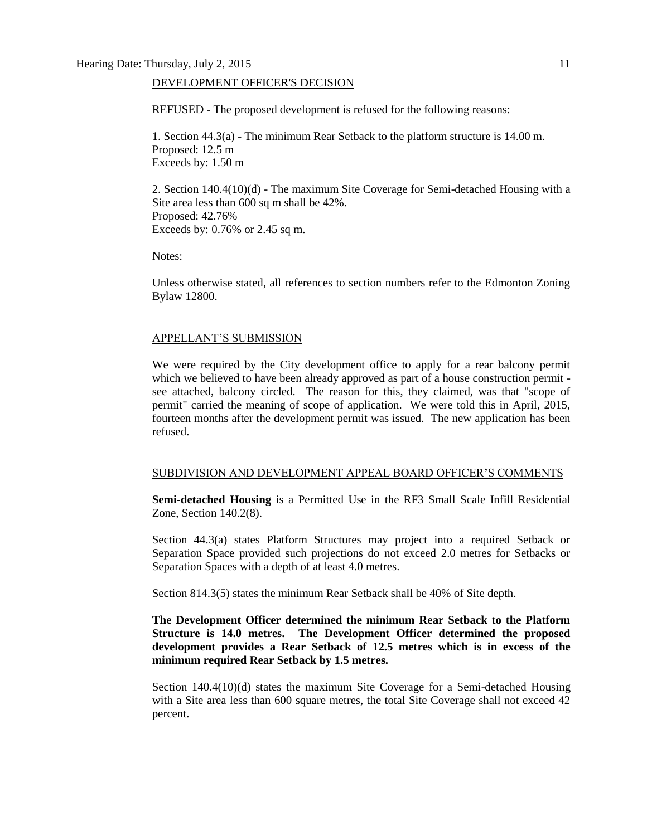#### DEVELOPMENT OFFICER'S DECISION

REFUSED - The proposed development is refused for the following reasons:

1. Section 44.3(a) - The minimum Rear Setback to the platform structure is 14.00 m. Proposed: 12.5 m Exceeds by: 1.50 m

2. Section 140.4(10)(d) - The maximum Site Coverage for Semi-detached Housing with a Site area less than 600 sq m shall be 42%. Proposed: 42.76% Exceeds by: 0.76% or 2.45 sq m.

Notes:

Unless otherwise stated, all references to section numbers refer to the Edmonton Zoning Bylaw 12800.

#### APPELLANT'S SUBMISSION

We were required by the City development office to apply for a rear balcony permit which we believed to have been already approved as part of a house construction permit see attached, balcony circled. The reason for this, they claimed, was that "scope of permit" carried the meaning of scope of application. We were told this in April, 2015, fourteen months after the development permit was issued. The new application has been refused.

#### SUBDIVISION AND DEVELOPMENT APPEAL BOARD OFFICER'S COMMENTS

**Semi-detached Housing** is a Permitted Use in the RF3 Small Scale Infill Residential Zone, Section 140.2(8).

Section 44.3(a) states Platform Structures may project into a required Setback or Separation Space provided such projections do not exceed 2.0 metres for Setbacks or Separation Spaces with a depth of at least 4.0 metres.

Section 814.3(5) states the minimum Rear Setback shall be 40% of Site depth.

**The Development Officer determined the minimum Rear Setback to the Platform Structure is 14.0 metres. The Development Officer determined the proposed development provides a Rear Setback of 12.5 metres which is in excess of the minimum required Rear Setback by 1.5 metres.**

Section 140.4(10)(d) states the maximum Site Coverage for a Semi-detached Housing with a Site area less than 600 square metres, the total Site Coverage shall not exceed 42 percent.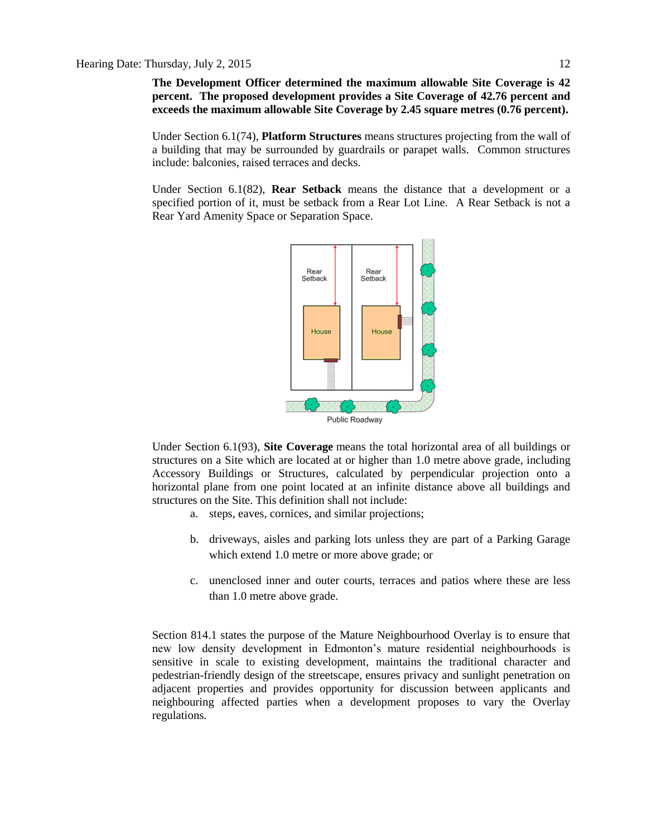**The Development Officer determined the maximum allowable Site Coverage is 42 percent. The proposed development provides a Site Coverage of 42.76 percent and exceeds the maximum allowable Site Coverage by 2.45 square metres (0.76 percent).**

Under Section 6.1(74), **Platform Structures** means structures projecting from the wall of a building that may be surrounded by guardrails or parapet walls. Common structures include: balconies, raised terraces and decks.

Under Section 6.1(82), **Rear Setback** means the distance that a development or a specified portion of it, must be setback from a Rear Lot Line. A Rear Setback is not a Rear Yard Amenity Space or Separation Space.



Under Section 6.1(93), **Site Coverage** means the total horizontal area of all buildings or structures on a Site which are located at or higher than 1.0 metre above grade, including Accessory Buildings or Structures, calculated by perpendicular projection onto a horizontal plane from one point located at an infinite distance above all buildings and structures on the Site. This definition shall not include:

- a. steps, eaves, cornices, and similar projections;
- b. driveways, aisles and parking lots unless they are part of a Parking Garage which extend 1.0 metre or more above grade; or
- c. unenclosed inner and outer courts, terraces and patios where these are less than 1.0 metre above grade.

Section 814.1 states the purpose of the Mature Neighbourhood Overlay is to ensure that new low density development in Edmonton's mature residential neighbourhoods is sensitive in scale to existing development, maintains the traditional character and pedestrian-friendly design of the streetscape, ensures privacy and sunlight penetration on adjacent properties and provides opportunity for discussion between applicants and neighbouring affected parties when a development proposes to vary the Overlay regulations.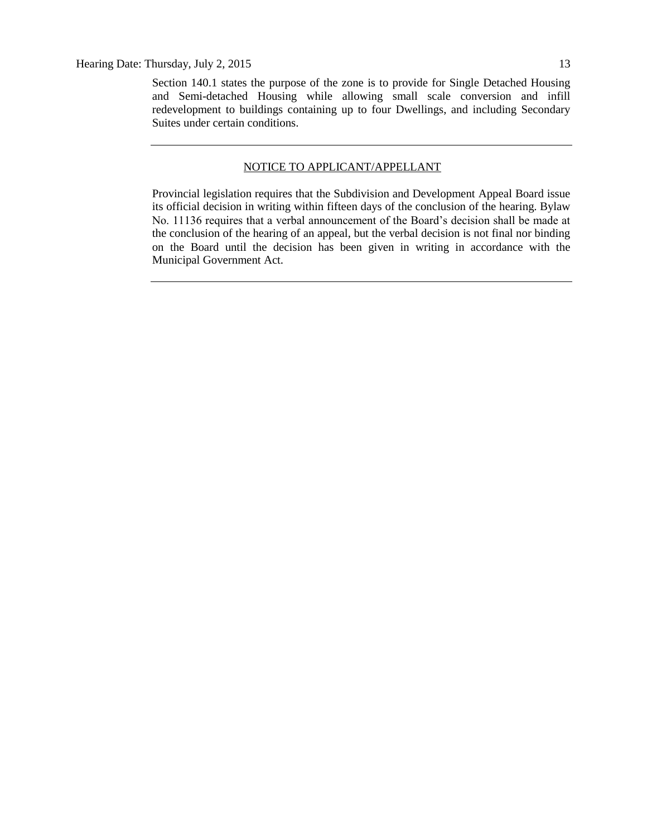Section 140.1 states the purpose of the zone is to provide for Single Detached Housing and Semi-detached Housing while allowing small scale conversion and infill redevelopment to buildings containing up to four Dwellings, and including Secondary Suites under certain conditions.

#### NOTICE TO APPLICANT/APPELLANT

Provincial legislation requires that the Subdivision and Development Appeal Board issue its official decision in writing within fifteen days of the conclusion of the hearing. Bylaw No. 11136 requires that a verbal announcement of the Board's decision shall be made at the conclusion of the hearing of an appeal, but the verbal decision is not final nor binding on the Board until the decision has been given in writing in accordance with the Municipal Government Act.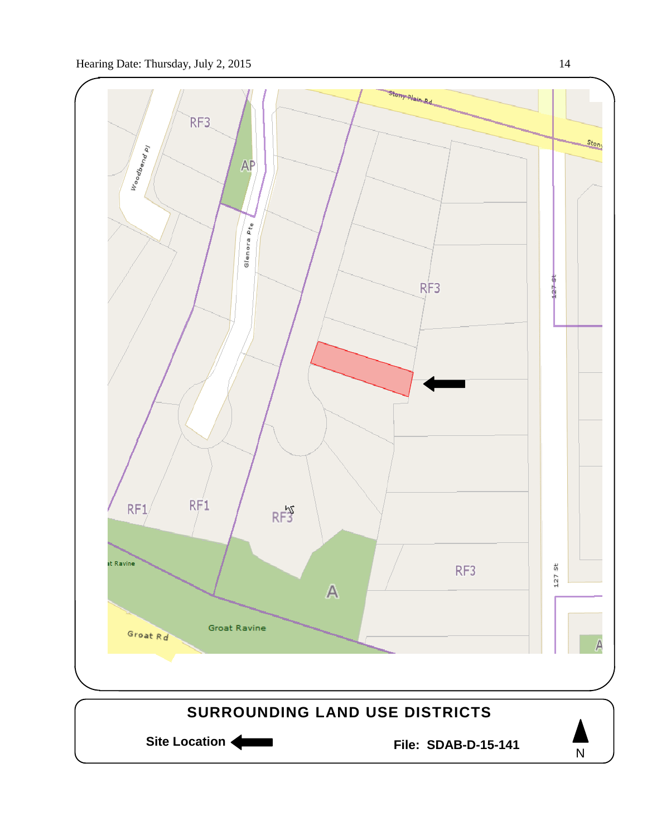